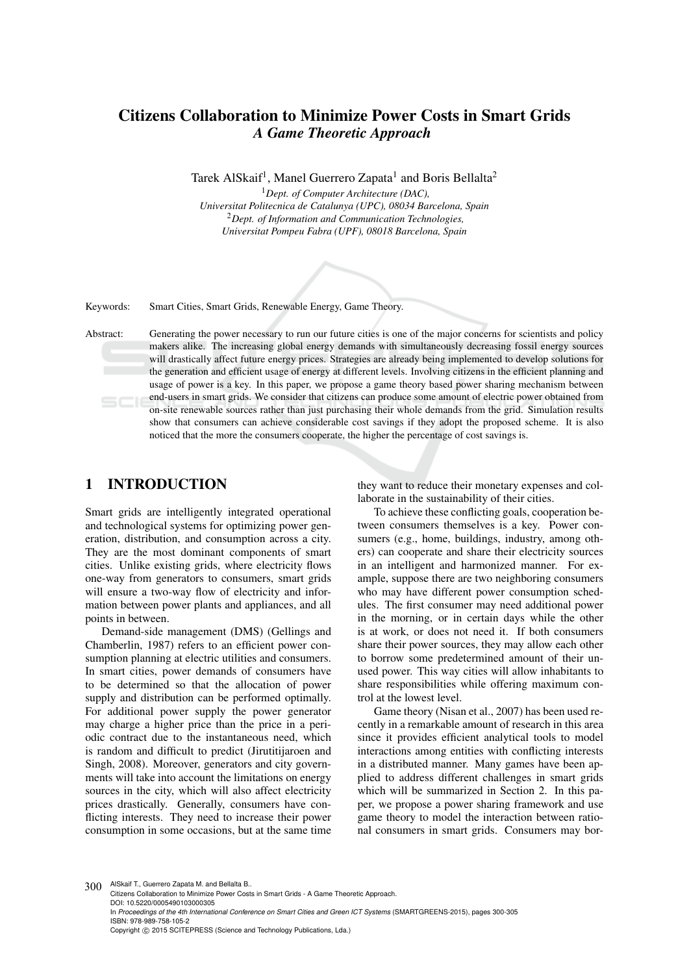# Citizens Collaboration to Minimize Power Costs in Smart Grids *A Game Theoretic Approach*

Tarek AlSkaif<sup>1</sup>, Manel Guerrero Zapata<sup>1</sup> and Boris Bellalta<sup>2</sup>

<sup>1</sup>*Dept. of Computer Architecture (DAC), Universitat Politecnica de Catalunya (UPC), 08034 Barcelona, Spain* <sup>2</sup>*Dept. of Information and Communication Technologies, Universitat Pompeu Fabra (UPF), 08018 Barcelona, Spain*

Keywords: Smart Cities, Smart Grids, Renewable Energy, Game Theory.

Abstract: Generating the power necessary to run our future cities is one of the major concerns for scientists and policy makers alike. The increasing global energy demands with simultaneously decreasing fossil energy sources will drastically affect future energy prices. Strategies are already being implemented to develop solutions for the generation and efficient usage of energy at different levels. Involving citizens in the efficient planning and usage of power is a key. In this paper, we propose a game theory based power sharing mechanism between end-users in smart grids. We consider that citizens can produce some amount of electric power obtained from on-site renewable sources rather than just purchasing their whole demands from the grid. Simulation results show that consumers can achieve considerable cost savings if they adopt the proposed scheme. It is also noticed that the more the consumers cooperate, the higher the percentage of cost savings is.

### 1 INTRODUCTION

Smart grids are intelligently integrated operational and technological systems for optimizing power generation, distribution, and consumption across a city. They are the most dominant components of smart cities. Unlike existing grids, where electricity flows one-way from generators to consumers, smart grids will ensure a two-way flow of electricity and information between power plants and appliances, and all points in between.

Demand-side management (DMS) (Gellings and Chamberlin, 1987) refers to an efficient power consumption planning at electric utilities and consumers. In smart cities, power demands of consumers have to be determined so that the allocation of power supply and distribution can be performed optimally. For additional power supply the power generator may charge a higher price than the price in a periodic contract due to the instantaneous need, which is random and difficult to predict (Jirutitijaroen and Singh, 2008). Moreover, generators and city governments will take into account the limitations on energy sources in the city, which will also affect electricity prices drastically. Generally, consumers have conflicting interests. They need to increase their power consumption in some occasions, but at the same time they want to reduce their monetary expenses and collaborate in the sustainability of their cities.

To achieve these conflicting goals, cooperation between consumers themselves is a key. Power consumers (e.g., home, buildings, industry, among others) can cooperate and share their electricity sources in an intelligent and harmonized manner. For example, suppose there are two neighboring consumers who may have different power consumption schedules. The first consumer may need additional power in the morning, or in certain days while the other is at work, or does not need it. If both consumers share their power sources, they may allow each other to borrow some predetermined amount of their unused power. This way cities will allow inhabitants to share responsibilities while offering maximum control at the lowest level.

Game theory (Nisan et al., 2007) has been used recently in a remarkable amount of research in this area since it provides efficient analytical tools to model interactions among entities with conflicting interests in a distributed manner. Many games have been applied to address different challenges in smart grids which will be summarized in Section 2. In this paper, we propose a power sharing framework and use game theory to model the interaction between rational consumers in smart grids. Consumers may bor-

300 AlSkaif T., Guerrero Zapata M. and Bellalta B. Citizens Collaboration to Minimize Power Costs in Smart Grids - A Game Theoretic Approach. DOI: 10.5220/0005490103000305 In *Proceedings of the 4th International Conference on Smart Cities and Green ICT Systems* (SMARTGREENS-2015), pages 300-305 ISBN: 978-989-758-105-2 Copyright (C) 2015 SCITEPRESS (Science and Technology Publications, Lda.)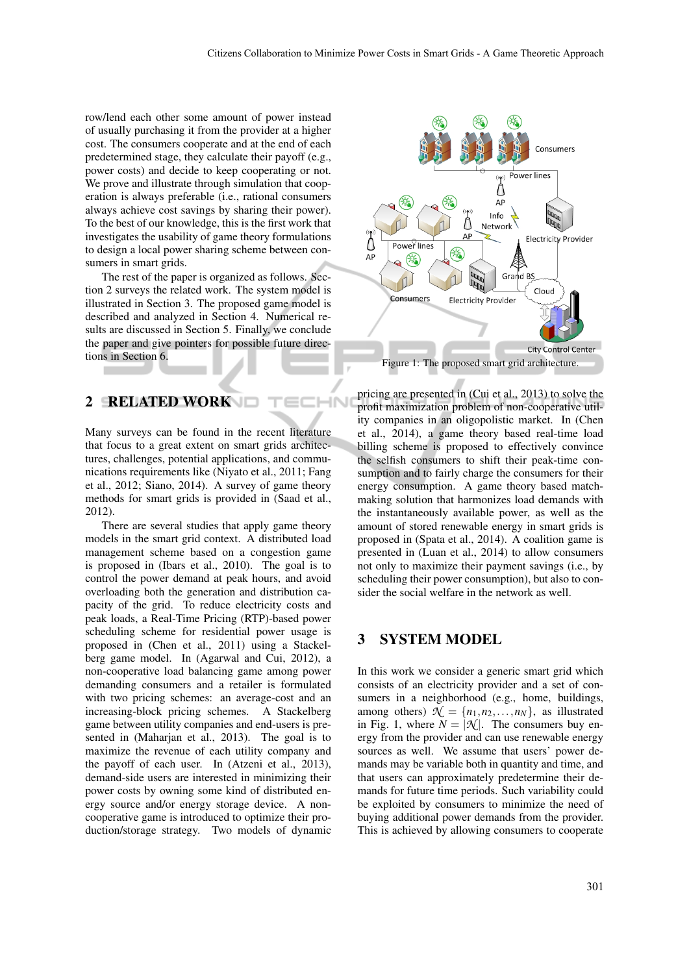-IN

row/lend each other some amount of power instead of usually purchasing it from the provider at a higher cost. The consumers cooperate and at the end of each predetermined stage, they calculate their payoff (e.g., power costs) and decide to keep cooperating or not. We prove and illustrate through simulation that cooperation is always preferable (i.e., rational consumers always achieve cost savings by sharing their power). To the best of our knowledge, this is the first work that investigates the usability of game theory formulations to design a local power sharing scheme between consumers in smart grids.

The rest of the paper is organized as follows. Section 2 surveys the related work. The system model is illustrated in Section 3. The proposed game model is described and analyzed in Section 4. Numerical results are discussed in Section 5. Finally, we conclude the paper and give pointers for possible future directions in Section 6.

### 2 RELATED WORK

Many surveys can be found in the recent literature that focus to a great extent on smart grids architectures, challenges, potential applications, and communications requirements like (Niyato et al., 2011; Fang et al., 2012; Siano, 2014). A survey of game theory methods for smart grids is provided in (Saad et al., 2012).

There are several studies that apply game theory models in the smart grid context. A distributed load management scheme based on a congestion game is proposed in (Ibars et al., 2010). The goal is to control the power demand at peak hours, and avoid overloading both the generation and distribution capacity of the grid. To reduce electricity costs and peak loads, a Real-Time Pricing (RTP)-based power scheduling scheme for residential power usage is proposed in (Chen et al., 2011) using a Stackelberg game model. In (Agarwal and Cui, 2012), a non-cooperative load balancing game among power demanding consumers and a retailer is formulated with two pricing schemes: an average-cost and an increasing-block pricing schemes. A Stackelberg game between utility companies and end-users is presented in (Maharjan et al., 2013). The goal is to maximize the revenue of each utility company and the payoff of each user. In (Atzeni et al., 2013), demand-side users are interested in minimizing their power costs by owning some kind of distributed energy source and/or energy storage device. A noncooperative game is introduced to optimize their production/storage strategy. Two models of dynamic



pricing are presented in (Cui et al., 2013) to solve the profit maximization problem of non-cooperative utility companies in an oligopolistic market. In (Chen et al., 2014), a game theory based real-time load billing scheme is proposed to effectively convince the selfish consumers to shift their peak-time consumption and to fairly charge the consumers for their energy consumption. A game theory based matchmaking solution that harmonizes load demands with the instantaneously available power, as well as the amount of stored renewable energy in smart grids is proposed in (Spata et al., 2014). A coalition game is presented in (Luan et al., 2014) to allow consumers not only to maximize their payment savings (i.e., by scheduling their power consumption), but also to consider the social welfare in the network as well.

#### 3 SYSTEM MODEL

In this work we consider a generic smart grid which consists of an electricity provider and a set of consumers in a neighborhood (e.g., home, buildings, among others)  $\mathcal{N} = \{n_1, n_2, \dots, n_N\}$ , as illustrated in Fig. 1, where  $N = |\mathcal{N}|$ . The consumers buy energy from the provider and can use renewable energy sources as well. We assume that users' power demands may be variable both in quantity and time, and that users can approximately predetermine their demands for future time periods. Such variability could be exploited by consumers to minimize the need of buying additional power demands from the provider. This is achieved by allowing consumers to cooperate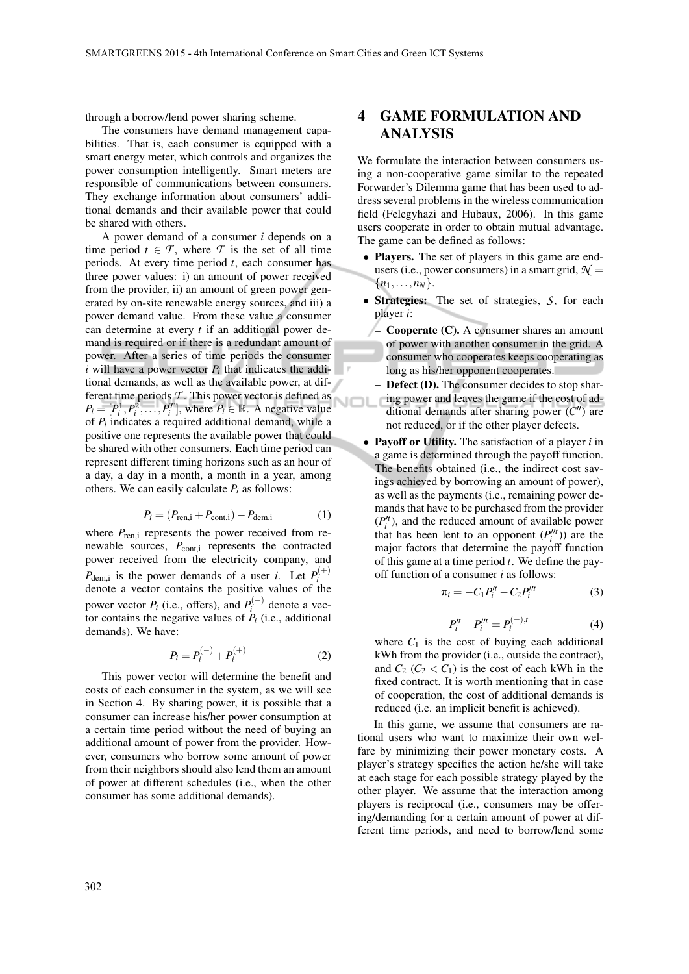through a borrow/lend power sharing scheme.

The consumers have demand management capabilities. That is, each consumer is equipped with a smart energy meter, which controls and organizes the power consumption intelligently. Smart meters are responsible of communications between consumers. They exchange information about consumers' additional demands and their available power that could be shared with others.

A power demand of a consumer *i* depends on a time period  $t \in \mathcal{T}$ , where  $\mathcal{T}$  is the set of all time periods. At every time period *t*, each consumer has three power values: i) an amount of power received from the provider, ii) an amount of green power generated by on-site renewable energy sources, and iii) a power demand value. From these value a consumer can determine at every *t* if an additional power demand is required or if there is a redundant amount of power. After a series of time periods the consumer  $i$  will have a power vector  $P_i$  that indicates the additional demands, as well as the available power, at different time periods *T* . This power vector is defined as  $P_i = [P_i^1, P_i^2, \dots, P_i^T]$ , where  $P_i \in \mathbb{R}$ . A negative value of *P<sup>i</sup>* indicates a required additional demand, while a positive one represents the available power that could be shared with other consumers. Each time period can represent different timing horizons such as an hour of a day, a day in a month, a month in a year, among others. We can easily calculate  $P_i$  as follows:

$$
P_i = (P_{\text{ren},i} + P_{\text{cont},i}) - P_{\text{dem},i} \tag{1}
$$

where  $P_{\text{ren,i}}$  represents the power received from renewable sources,  $P_{\text{cont,i}}$  represents the contracted power received from the electricity company, and  $P_{\text{dem,i}}$  is the power demands of a user *i*. Let  $P_i^{(+)}$ *i* denote a vector contains the positive values of the power vector  $P_i$  (i.e., offers), and  $P_i^{(-)}$  $\mathbf{a}^{(-)}$  denote a vector contains the negative values of  $P_i$  (i.e., additional demands). We have:

$$
P_i = P_i^{(-)} + P_i^{(+)} \tag{2}
$$

This power vector will determine the benefit and costs of each consumer in the system, as we will see in Section 4. By sharing power, it is possible that a consumer can increase his/her power consumption at a certain time period without the need of buying an additional amount of power from the provider. However, consumers who borrow some amount of power from their neighbors should also lend them an amount of power at different schedules (i.e., when the other consumer has some additional demands).

# 4 GAME FORMULATION AND ANALYSIS

We formulate the interaction between consumers using a non-cooperative game similar to the repeated Forwarder's Dilemma game that has been used to address several problems in the wireless communication field (Felegyhazi and Hubaux, 2006). In this game users cooperate in order to obtain mutual advantage. The game can be defined as follows:

- Players. The set of players in this game are endusers (i.e., power consumers) in a smart grid,  $\mathcal{N} =$  ${n_1, \ldots, n_N}.$
- Strategies: The set of strategies, *S*, for each player *i*:
- Cooperate (C). A consumer shares an amount of power with another consumer in the grid. A consumer who cooperates keeps cooperating as long as his/her opponent cooperates.
- Defect (D). The consumer decides to stop sharing power and leaves the game if the cost of ad-VOL ditional demands after sharing power ( $C''$ ) are not reduced, or if the other player defects.
	- Payoff or Utility. The satisfaction of a player *i* in a game is determined through the payoff function. The benefits obtained (i.e., the indirect cost savings achieved by borrowing an amount of power), as well as the payments (i.e., remaining power demands that have to be purchased from the provider  $(P_i^{\prime t})$ , and the reduced amount of available power that has been lent to an opponent  $(P_i^{\prime\prime\prime})$  are the major factors that determine the payoff function of this game at a time period *t*. We define the payoff function of a consumer *i* as follows:

$$
\pi_i = -C_1 P_i^{\prime t} - C_2 P_i^{\prime \prime t} \tag{3}
$$

$$
P_i'^t + P_i''^t = P_i^{(-),t} \tag{4}
$$

where  $C_1$  is the cost of buying each additional kWh from the provider (i.e., outside the contract), and  $C_2$  ( $C_2 < C_1$ ) is the cost of each kWh in the fixed contract. It is worth mentioning that in case of cooperation, the cost of additional demands is reduced (i.e. an implicit benefit is achieved).

In this game, we assume that consumers are rational users who want to maximize their own welfare by minimizing their power monetary costs. A player's strategy specifies the action he/she will take at each stage for each possible strategy played by the other player. We assume that the interaction among players is reciprocal (i.e., consumers may be offering/demanding for a certain amount of power at different time periods, and need to borrow/lend some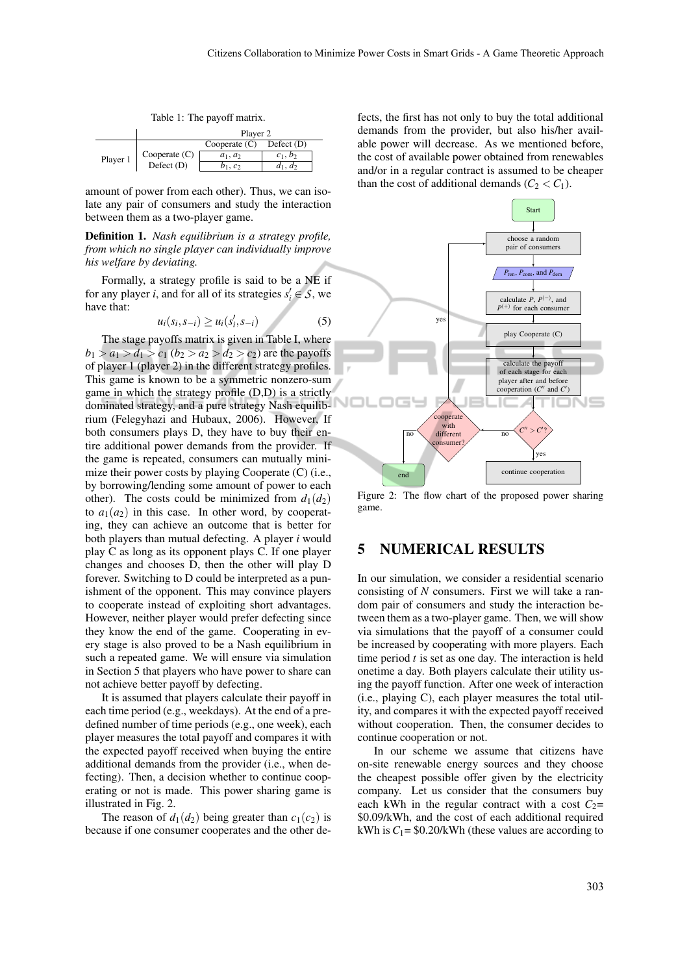Table 1: The payoff matrix.

|          | Player 2        |                 |              |  |  |
|----------|-----------------|-----------------|--------------|--|--|
|          |                 | Cooperate $(C)$ | Defect $(D)$ |  |  |
| Player 1 | Cooperate $(C)$ | $a_1, a_2$      | $c_1, b_2$   |  |  |
|          | Defect $(D)$    | $b_1, c_2$      | $d_1, d_2$   |  |  |

amount of power from each other). Thus, we can isolate any pair of consumers and study the interaction between them as a two-player game.

Definition 1. *Nash equilibrium is a strategy profile, from which no single player can individually improve his welfare by deviating.*

Formally, a strategy profile is said to be a NE if for any player *i*, and for all of its strategies  $s_i' \in S$ , we have that:

*ui*(*s<sup>i</sup>*

$$
u_i(s_i, s_{-i}) \ge u_i(s'_i, s_{-i})
$$
 (5)

The stage payoffs matrix is given in Table I, where  $b_1 > a_1 > d_1 > c_1 (b_2 > a_2 > d_2 > c_2$ ) are the payoffs of player 1 (player 2) in the different strategy profiles. This game is known to be a symmetric nonzero-sum game in which the strategy profile (D,D) is a strictly dominated strategy, and a pure strategy Nash equilibrium (Felegyhazi and Hubaux, 2006). However, If both consumers plays D, they have to buy their entire additional power demands from the provider. If the game is repeated, consumers can mutually minimize their power costs by playing Cooperate (C) (i.e., by borrowing/lending some amount of power to each other). The costs could be minimized from  $d_1(d_2)$ to  $a_1(a_2)$  in this case. In other word, by cooperating, they can achieve an outcome that is better for both players than mutual defecting. A player *i* would play C as long as its opponent plays C. If one player changes and chooses D, then the other will play D forever. Switching to D could be interpreted as a punishment of the opponent. This may convince players to cooperate instead of exploiting short advantages. However, neither player would prefer defecting since they know the end of the game. Cooperating in every stage is also proved to be a Nash equilibrium in such a repeated game. We will ensure via simulation in Section 5 that players who have power to share can not achieve better payoff by defecting.

It is assumed that players calculate their payoff in each time period (e.g., weekdays). At the end of a predefined number of time periods (e.g., one week), each player measures the total payoff and compares it with the expected payoff received when buying the entire additional demands from the provider (i.e., when defecting). Then, a decision whether to continue cooperating or not is made. This power sharing game is illustrated in Fig. 2.

The reason of  $d_1(d_2)$  being greater than  $c_1(c_2)$  is because if one consumer cooperates and the other defects, the first has not only to buy the total additional demands from the provider, but also his/her available power will decrease. As we mentioned before, the cost of available power obtained from renewables and/or in a regular contract is assumed to be cheaper than the cost of additional demands  $(C_2 < C_1)$ .



Figure 2: The flow chart of the proposed power sharing game.

#### 5 NUMERICAL RESULTS

In our simulation, we consider a residential scenario consisting of *N* consumers. First we will take a random pair of consumers and study the interaction between them as a two-player game. Then, we will show via simulations that the payoff of a consumer could be increased by cooperating with more players. Each time period *t* is set as one day. The interaction is held onetime a day. Both players calculate their utility using the payoff function. After one week of interaction (i.e., playing C), each player measures the total utility, and compares it with the expected payoff received without cooperation. Then, the consumer decides to continue cooperation or not.

In our scheme we assume that citizens have on-site renewable energy sources and they choose the cheapest possible offer given by the electricity company. Let us consider that the consumers buy each kWh in the regular contract with a cost  $C_2$ = \$0.09/kWh, and the cost of each additional required kWh is  $C_1$  = \$0.20/kWh (these values are according to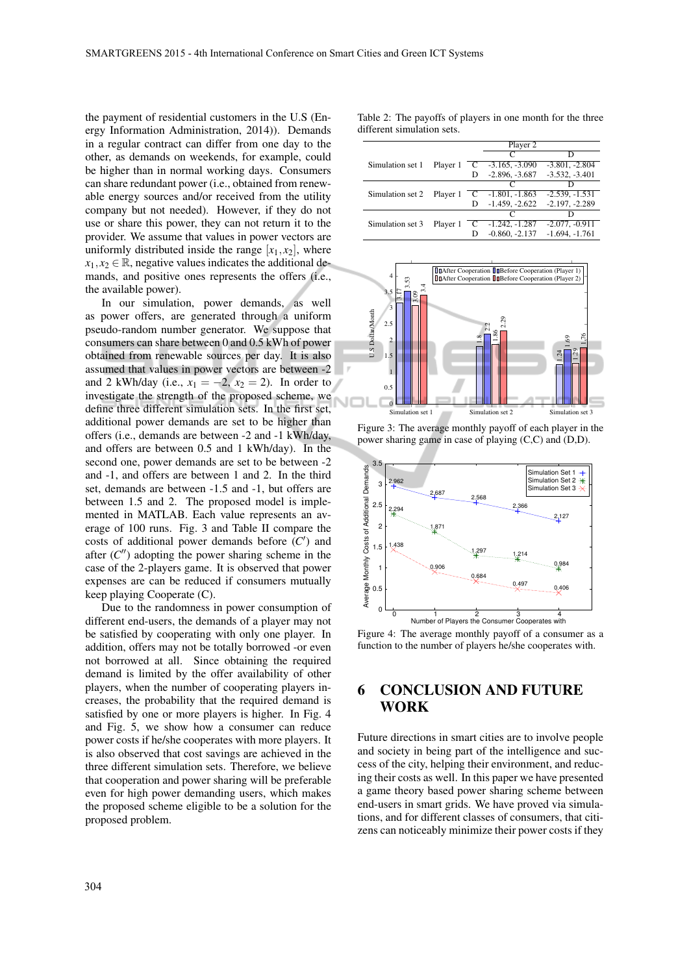the payment of residential customers in the U.S (Energy Information Administration, 2014)). Demands in a regular contract can differ from one day to the other, as demands on weekends, for example, could be higher than in normal working days. Consumers can share redundant power (i.e., obtained from renewable energy sources and/or received from the utility company but not needed). However, if they do not use or share this power, they can not return it to the provider. We assume that values in power vectors are uniformly distributed inside the range  $[x_1, x_2]$ , where  $x_1, x_2 \in \mathbb{R}$ , negative values indicates the additional demands, and positive ones represents the offers (i.e., the available power).

In our simulation, power demands, as well as power offers, are generated through a uniform pseudo-random number generator. We suppose that consumers can share between 0 and 0.5 kWh of power obtained from renewable sources per day. It is also assumed that values in power vectors are between -2 and 2 kWh/day (i.e.,  $x_1 = -2$ ,  $x_2 = 2$ ). In order to investigate the strength of the proposed scheme, we define three different simulation sets. In the first set, additional power demands are set to be higher than offers (i.e., demands are between -2 and -1 kWh/day, and offers are between 0.5 and 1 kWh/day). In the second one, power demands are set to be between -2 and -1, and offers are between 1 and 2. In the third set, demands are between -1.5 and -1, but offers are between 1.5 and 2. The proposed model is implemented in MATLAB. Each value represents an average of 100 runs. Fig. 3 and Table II compare the costs of additional power demands before  $(C')$  and after  $(C'')$  adopting the power sharing scheme in the case of the 2-players game. It is observed that power expenses are can be reduced if consumers mutually keep playing Cooperate (C).

Due to the randomness in power consumption of different end-users, the demands of a player may not be satisfied by cooperating with only one player. In addition, offers may not be totally borrowed -or even not borrowed at all. Since obtaining the required demand is limited by the offer availability of other players, when the number of cooperating players increases, the probability that the required demand is satisfied by one or more players is higher. In Fig. 4 and Fig. 5, we show how a consumer can reduce power costs if he/she cooperates with more players. It is also observed that cost savings are achieved in the three different simulation sets. Therefore, we believe that cooperation and power sharing will be preferable even for high power demanding users, which makes the proposed scheme eligible to be a solution for the proposed problem.

Table 2: The payoffs of players in one month for the three different simulation sets.

|                  |          |   | Player 2                      |                  |
|------------------|----------|---|-------------------------------|------------------|
|                  |          |   | C                             | D                |
| Simulation set 1 | Player 1 |   | $C = 3.165, -3.090$           | $-3.801, -2.804$ |
|                  |          | D | $-2.896, -3.687$              | $-3.532, -3.401$ |
|                  |          |   | $\mathfrak{c}$                |                  |
| Simulation set 2 | Player 1 |   | $C = 1.801, -1.863$           | $-2.539, -1.531$ |
|                  |          | D | $-1.459, -2.622$              | $-2.197, -2.289$ |
|                  |          |   |                               |                  |
| Simulation set 3 | Player 1 |   | $\overline{C}$ -1.242, -1.287 | $-2.077, -0.911$ |
|                  |          |   | $-0.860, -2.137$              | $-1.694, -1.761$ |



Figure 3: The average monthly payoff of each player in the power sharing game in case of playing (C,C) and (D,D).



Figure 4: The average monthly payoff of a consumer as a function to the number of players he/she cooperates with.

# 6 CONCLUSION AND FUTURE **WORK**

Future directions in smart cities are to involve people and society in being part of the intelligence and success of the city, helping their environment, and reducing their costs as well. In this paper we have presented a game theory based power sharing scheme between end-users in smart grids. We have proved via simulations, and for different classes of consumers, that citizens can noticeably minimize their power costs if they